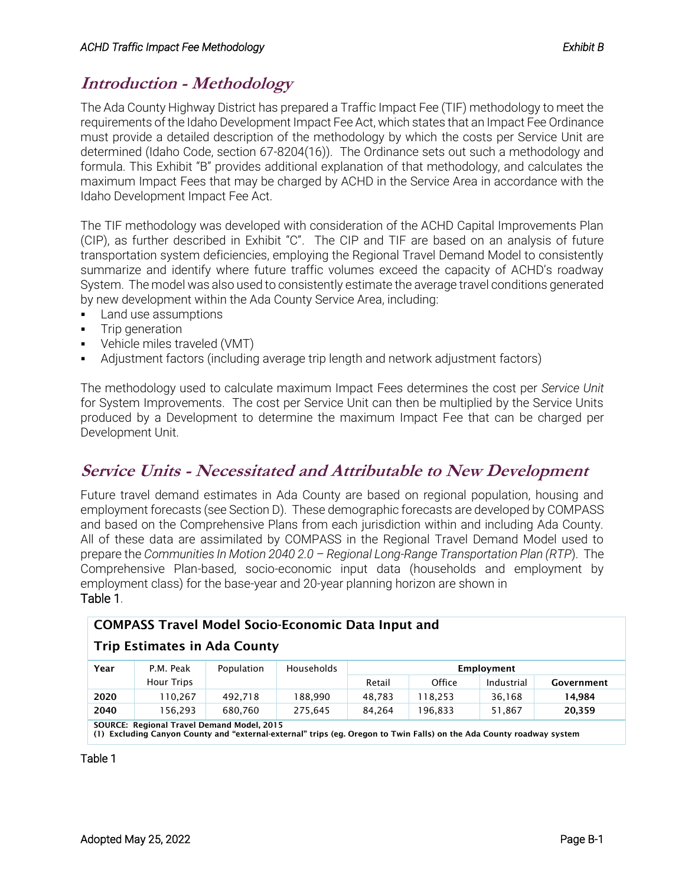## **Introduction - Methodology**

The Ada County Highway District has prepared a Traffic Impact Fee (TIF) methodology to meet the requirements of the Idaho Development Impact Fee Act, which states that an Impact Fee Ordinance must provide a detailed description of the methodology by which the costs per Service Unit are determined (Idaho Code, section 67-8204(16)). The Ordinance sets out such a methodology and formula. This Exhibit "B" provides additional explanation of that methodology, and calculates the maximum Impact Fees that may be charged by ACHD in the Service Area in accordance with the Idaho Development Impact Fee Act.

The TIF methodology was developed with consideration of the ACHD Capital Improvements Plan (CIP), as further described in Exhibit "C". The CIP and TIF are based on an analysis of future transportation system deficiencies, employing the Regional Travel Demand Model to consistently summarize and identify where future traffic volumes exceed the capacity of ACHD's roadway System. The model was also used to consistently estimate the average travel conditions generated by new development within the Ada County Service Area, including:

- **•** Land use assumptions
- **•** Trip generation
- Vehicle miles traveled (VMT)
- Adjustment factors (including average trip length and network adjustment factors)

The methodology used to calculate maximum Impact Fees determines the cost per *Service Unit* for System Improvements. The cost per Service Unit can then be multiplied by the Service Units produced by a Development to determine the maximum Impact Fee that can be charged per Development Unit.

## **Service Units - Necessitated and Attributable to New Development**

Future travel demand estimates in Ada County are based on regional population, housing and employment forecasts (see Section D). These demographic forecasts are developed by COMPASS and based on the Comprehensive Plans from each jurisdiction within and including Ada County. All of these data are assimilated by COMPASS in the Regional Travel Demand Model used to prepare the *Communities In Motion 2040 2.0 – Regional Long-Range Transportation Plan (RTP*). The Comprehensive Plan-based, socio-economic input data (households and employment by employment class) for the base-year and 20-year planning horizon are shown in [Table 1.](#page-0-0)

### COMPASS Travel Model Socio-Economic Data Input and

#### Trip Estimates in Ada County

| Year                                       | P.M. Peak         | Population | Households | Employment |         |            |            |  |
|--------------------------------------------|-------------------|------------|------------|------------|---------|------------|------------|--|
|                                            | <b>Hour Trips</b> |            |            | Retail     | Office  | Industrial | Government |  |
| 2020                                       | 110.267           | 492.718    | 188.990    | 48.783     | 18.253  | 36.168     | 14.984     |  |
| 2040                                       | 156.293           | 680.760    | 275.645    | 84.264     | 196.833 | 51.867     | 20,359     |  |
| COUPCE: Pegional Travel Demand Model, 2015 |                   |            |            |            |         |            |            |  |

SOURCE: Regional Travel Demand Model, 2015

(1) Excluding Canyon County and "external-external" trips (eg. Oregon to Twin Falls) on the Ada County roadway system

<span id="page-0-0"></span>Table 1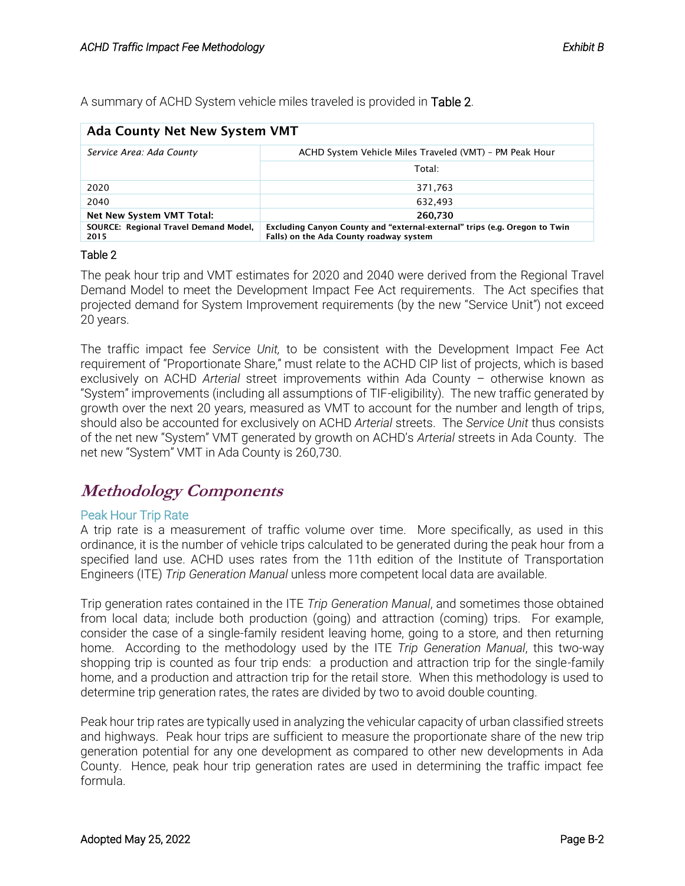A summary of ACHD System vehicle miles traveled is provided in [Table 2.](#page-1-0)

| <b>Ada County Net New System VMT</b>          |                                                                                                                       |  |  |  |  |  |
|-----------------------------------------------|-----------------------------------------------------------------------------------------------------------------------|--|--|--|--|--|
| Service Area: Ada County                      | ACHD System Vehicle Miles Traveled (VMT) - PM Peak Hour                                                               |  |  |  |  |  |
|                                               | Total:                                                                                                                |  |  |  |  |  |
| 2020                                          | 371,763                                                                                                               |  |  |  |  |  |
| 2040                                          | 632.493                                                                                                               |  |  |  |  |  |
| Net New System VMT Total:                     | 260,730                                                                                                               |  |  |  |  |  |
| SOURCE: Regional Travel Demand Model,<br>2015 | Excluding Canyon County and "external-external" trips (e.g. Oregon to Twin<br>Falls) on the Ada County roadway system |  |  |  |  |  |

#### <span id="page-1-0"></span>Table 2

The peak hour trip and VMT estimates for 2020 and 2040 were derived from the Regional Travel Demand Model to meet the Development Impact Fee Act requirements. The Act specifies that projected demand for System Improvement requirements (by the new "Service Unit") not exceed 20 years.

The traffic impact fee *Service Unit,* to be consistent with the Development Impact Fee Act requirement of "Proportionate Share," must relate to the ACHD CIP list of projects, which is based exclusively on ACHD *Arterial* street improvements within Ada County – otherwise known as "System" improvements (including all assumptions of TIF-eligibility). The new traffic generated by growth over the next 20 years, measured as VMT to account for the number and length of trips, should also be accounted for exclusively on ACHD *Arterial* streets. The *Service Unit* thus consists of the net new "System" VMT generated by growth on ACHD's *Arterial* streets in Ada County. The net new "System" VMT in Ada County is 260,730.

### **Methodology Components**

#### Peak Hour Trip Rate

A trip rate is a measurement of traffic volume over time. More specifically, as used in this ordinance, it is the number of vehicle trips calculated to be generated during the peak hour from a specified land use. ACHD uses rates from the 11th edition of the Institute of Transportation Engineers (ITE) *Trip Generation Manual* unless more competent local data are available.

Trip generation rates contained in the ITE *Trip Generation Manual*, and sometimes those obtained from local data; include both production (going) and attraction (coming) trips. For example, consider the case of a single-family resident leaving home, going to a store, and then returning home. According to the methodology used by the ITE *Trip Generation Manual*, this two-way shopping trip is counted as four trip ends: a production and attraction trip for the single-family home, and a production and attraction trip for the retail store. When this methodology is used to determine trip generation rates, the rates are divided by two to avoid double counting.

Peak hour trip rates are typically used in analyzing the vehicular capacity of urban classified streets and highways. Peak hour trips are sufficient to measure the proportionate share of the new trip generation potential for any one development as compared to other new developments in Ada County. Hence, peak hour trip generation rates are used in determining the traffic impact fee formula.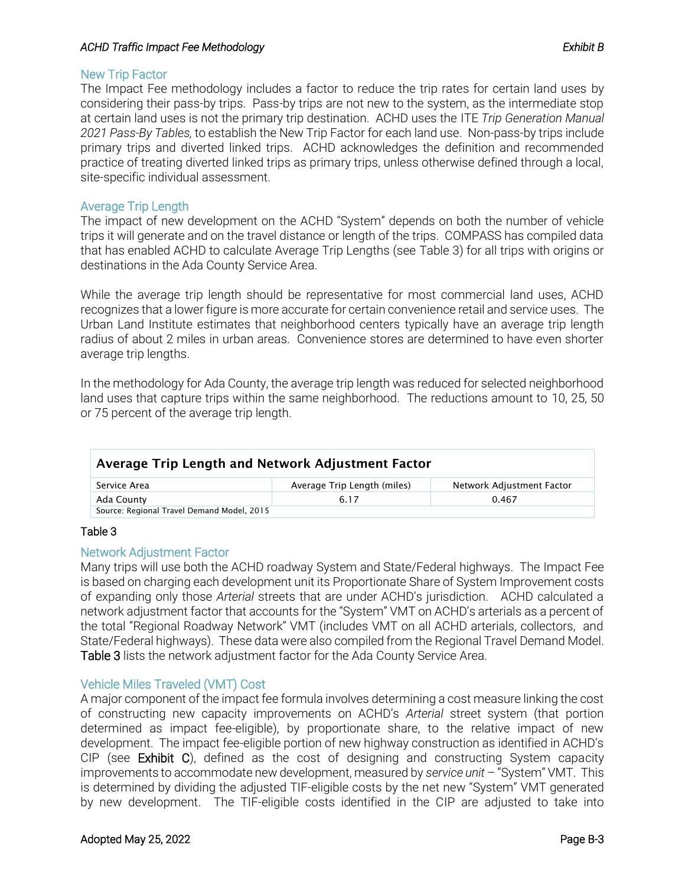#### *ACHD Traffic Impact Fee Methodology Exhibit B*

#### New Trip Factor

The Impact Fee methodology includes a factor to reduce the trip rates for certain land uses by considering their pass-by trips. Pass-by trips are not new to the system, as the intermediate stop at certain land uses is not the primary trip destination. ACHD uses the ITE *Trip Generation Manual 2021 Pass-By Tables,* to establish the New Trip Factor for each land use. Non-pass-by trips include primary trips and diverted linked trips. ACHD acknowledges the definition and recommended practice of treating diverted linked trips as primary trips, unless otherwise defined through a local, site-specific individual assessment.

#### Average Trip Length

The impact of new development on the ACHD "System" depends on both the number of vehicle trips it will generate and on the travel distance or length of the trips. COMPASS has compiled data that has enabled ACHD to calculate Average Trip Lengths (see [Table 3\)](#page-2-0) for all trips with origins or destinations in the Ada County Service Area.

While the average trip length should be representative for most commercial land uses, ACHD recognizes that a lower figure is more accurate for certain convenience retail and service uses. The Urban Land Institute estimates that neighborhood centers typically have an average trip length radius of about 2 miles in urban areas. Convenience stores are determined to have even shorter average trip lengths.

In the methodology for Ada County, the average trip length was reduced for selected neighborhood land uses that capture trips within the same neighborhood. The reductions amount to 10, 25, 50 or 75 percent of the average trip length.

| Average Trip Length and Network Adjustment Factor |                             |                           |  |  |  |  |
|---------------------------------------------------|-----------------------------|---------------------------|--|--|--|--|
| Service Area                                      | Average Trip Length (miles) | Network Adjustment Factor |  |  |  |  |
| Ada County                                        | 6.17                        | 0.467                     |  |  |  |  |
| Source: Regional Travel Demand Model, 2015        |                             |                           |  |  |  |  |

#### <span id="page-2-0"></span>Table 3

#### Network Adjustment Factor

Many trips will use both the ACHD roadway System and State/Federal highways. The Impact Fee is based on charging each development unit its Proportionate Share of System Improvement costs of expanding only those *Arterial* streets that are under ACHD's jurisdiction. ACHD calculated a network adjustment factor that accounts for the "System" VMT on ACHD's arterials as a percent of the total "Regional Roadway Network" VMT (includes VMT on all ACHD arterials, collectors, and State/Federal highways). These data were also compiled from the Regional Travel Demand Model. [Table 3](#page-2-0) lists the network adjustment factor for the Ada County Service Area.

#### Vehicle Miles Traveled (VMT) Cost

A major component of the impact fee formula involves determining a cost measure linking the cost of constructing new capacity improvements on ACHD's *Arterial* street system (that portion determined as impact fee-eligible), by proportionate share, to the relative impact of new development. The impact fee-eligible portion of new highway construction as identified in ACHD's CIP (see Exhibit C), defined as the cost of designing and constructing System capacity improvements to accommodate new development, measured by *service unit* – "System" VMT. This is determined by dividing the adjusted TIF-eligible costs by the net new "System" VMT generated by new development. The TIF-eligible costs identified in the CIP are adjusted to take into